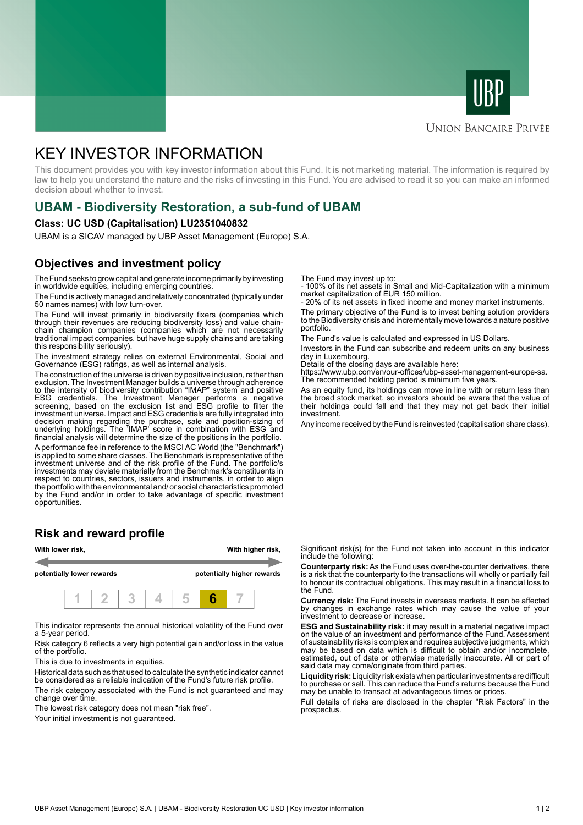



#### **UNION BANCAIRE PRIVÉE**

# KEY INVESTOR INFORMATION

This document provides you with key investor information about this Fund. It is not marketing material. The information is required by law to help you understand the nature and the risks of investing in this Fund. You are advised to read it so you can make an informed decision about whether to invest.

### **UBAM - Biodiversity Restoration, a sub-fund of UBAM**

#### **Class: UC USD (Capitalisation) LU2351040832**

UBAM is a SICAV managed by UBP Asset Management (Europe) S.A.

### **Objectives and investment policy**

The Fund seeks to grow capital and generate income primarily by investing in worldwide equities, including emerging countries.

The Fund is actively managed and relatively concentrated (typically under 50 names names) with low turn-over.

The Fund will invest primarily in biodiversity fixers (companies which through their revenues are reducing biodiversity loss) and value chainchain champion companies (companies which are not necessarily traditional impact companies, but have huge supply chains and are taking this responsibility seriously).

The investment strategy relies on external Environmental, Social and Governance (ESG) ratings, as well as internal analysis.

The construction of the universe is driven by positive inclusion, rather than exclusion. The Investment Manager builds a universe through adherence to the intensity of biodiversity contribution "IMAP" system and positive ESG credentials. The Investment Manager performs a negative screening, based on the exclusion list and ESG profile to filter the investment universe. Impact and ESG credentials are fully integrated into decision making regarding the purchase, sale and position-sizing of underlying holdings. The 'IMAP' score in combination with ESG and financial analysis will determine the size of the positions in the portfolio.

A performance fee in reference to the MSCI AC World (the "Benchmark") is applied to some share classes. The Benchmark is representative of the investment universe and of the risk profile of the Fund. The portfolio's investments may deviate materially from the Benchmark's constituents in respect to countries, sectors, issuers and instruments, in order to align the portfolio with the environmental and/ or social characteristics promoted by the Fund and/or in order to take advantage of specific investment opportunities.

#### **Risk and reward profile**



This indicator represents the annual historical volatility of the Fund over a 5-year period.

Risk category 6 reflects a very high potential gain and/or loss in the value of the portfolio.

This is due to investments in equities.

Historical data such as that used to calculate the synthetic indicator cannot be considered as a reliable indication of the Fund's future risk profile.

The risk category associated with the Fund is not guaranteed and may change over time.

The lowest risk category does not mean "risk free".

Your initial investment is not guaranteed.

The Fund may invest up to:

- 100% of its net assets in Small and Mid-Capitalization with a minimum market capitalization of EUR 150 million.

20% of its net assets in fixed income and money market instruments.

The primary objective of the Fund is to invest behing solution providers to the Biodiversity crisis and incrementally move towards a nature positive portfolio.

The Fund's value is calculated and expressed in US Dollars.

Investors in the Fund can subscribe and redeem units on any business day in Luxembourg.

Details of the closing days are available here:

https://www.ubp.com/en/our-offices/ubp-asset-management-europe-sa. The recommended holding period is minimum five years.

As an equity fund, its holdings can move in line with or return less than the broad stock market, so investors should be aware that the value of their holdings could fall and that they may not get back their initial investment.

Any income received by the Fund is reinvested (capitalisation share class).

Significant risk(s) for the Fund not taken into account in this indicator include the following:

**Counterparty risk:** As the Fund uses over-the-counter derivatives, there is a risk that the counterparty to the transactions will wholly or partially fail to honour its contractual obligations. This may result in a financial loss to the Fund.

**Currency risk:** The Fund invests in overseas markets. It can be affected by changes in exchange rates which may cause the value of your investment to decrease or increase.

**ESG and Sustainability risk:** it may result in a material negative impact on the value of an investment and performance of the Fund. Assessment of sustainability risks is complex and requires subjective judgments, which may be based on data which is difficult to obtain and/or incomplete, estimated, out of date or otherwise materially inaccurate. All or part of said data may come/originate from third parties.

**Liquidity risk:** Liquidity risk exists when particular investments are difficult to purchase or sell. This can reduce the Fund's returns because the Fund may be unable to transact at advantageous times or prices.

Full details of risks are disclosed in the chapter "Risk Factors" in the prospectus.